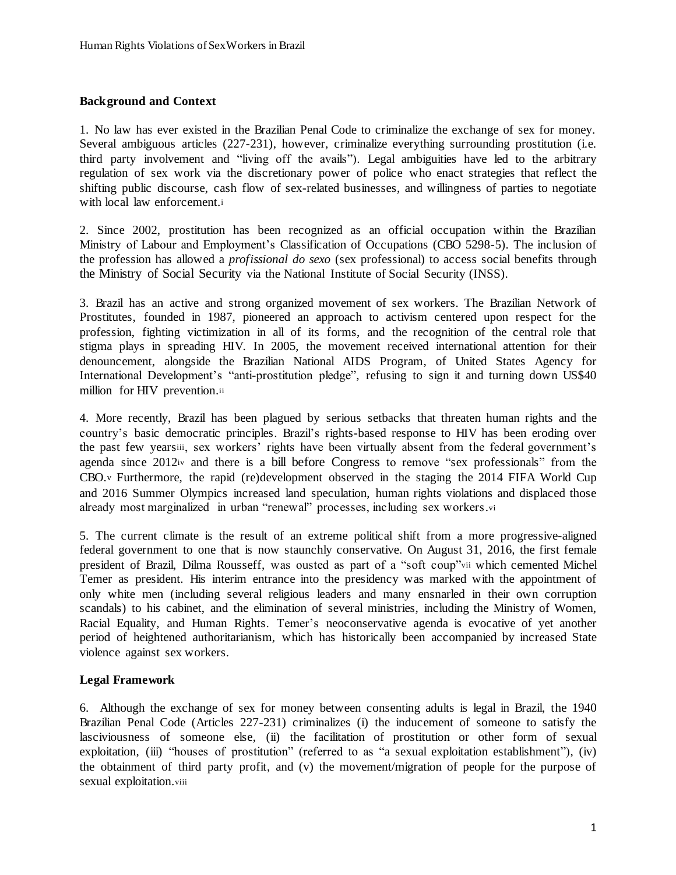### **Background and Context**

1. No law has ever existed in the Brazilian Penal Code to criminalize the exchange of sex for money. Several ambiguous articles (227-231), however, criminalize everything surrounding prostitution (i.e. third party involvement and "living off the avails"). Legal ambiguities have led to the arbitrary regulation of sex work via the discretionary power of police who enact strategies that reflect the shifting public discourse, cash flow of sex-related businesses, and willingness of parties to negotiate with local law enforcement.<sup>i</sup>

2. Since 2002, prostitution has been recognized as an official occupation within the Brazilian Ministry of Labour and Employment's Classification of Occupations (CBO 5298-5). The inclusion of the profession has allowed a *profissional do sexo* (sex professional) to access social benefits through the Ministry of Social Security via the National Institute of Social Security (INSS).

3. Brazil has an active and strong organized movement of sex workers. The Brazilian Network of Prostitutes, founded in 1987, pioneered an approach to activism centered upon respect for the profession, fighting victimization in all of its forms, and the recognition of the central role that stigma plays in spreading HIV. In 2005, the movement received international attention for their denouncement, alongside the Brazilian National AIDS Program, of United States Agency for International Development's "anti-prostitution pledge", refusing to sign it and turning down US\$40 million for HIV prevention.ii

4. More recently, Brazil has been plagued by serious setbacks that threaten human rights and the country's basic democratic principles. Brazil's rights-based response to HIV has been eroding over the past few yearsiii, sex workers' rights have been virtually absent from the federal government's agenda since 2012iv and there is a bill before Congress to remove "sex professionals" from the CBO.v Furthermore, the rapid (re)development observed in the staging the 2014 FIFA World Cup and 2016 Summer Olympics increased land speculation, human rights violations and displaced those already most marginalized in urban "renewal" processes, including sex workers.vi

5. The current climate is the result of an extreme political shift from a more progressive-aligned federal government to one that is now staunchly conservative. On August 31, 2016, the first female president of Brazil, Dilma Rousseff, was ousted as part of a "soft coup"vii which cemented Michel Temer as president. His interim entrance into the presidency was marked with the appointment of only white men (including several religious leaders and many ensnarled in their own corruption scandals) to his cabinet, and the elimination of several ministries, including the Ministry of Women, Racial Equality, and Human Rights. Temer's neoconservative agenda is evocative of yet another period of heightened authoritarianism, which has historically been accompanied by increased State violence against sex workers.

### **Legal Framework**

6. Although the exchange of sex for money between consenting adults is legal in Brazil, the 1940 Brazilian Penal Code (Articles 227-231) criminalizes (i) the inducement of someone to satisfy the lasciviousness of someone else, (ii) the facilitation of prostitution or other form of sexual exploitation, (iii) "houses of prostitution" (referred to as "a sexual exploitation establishment"), (iv) the obtainment of third party profit, and (v) the movement/migration of people for the purpose of sexual exploitation.viii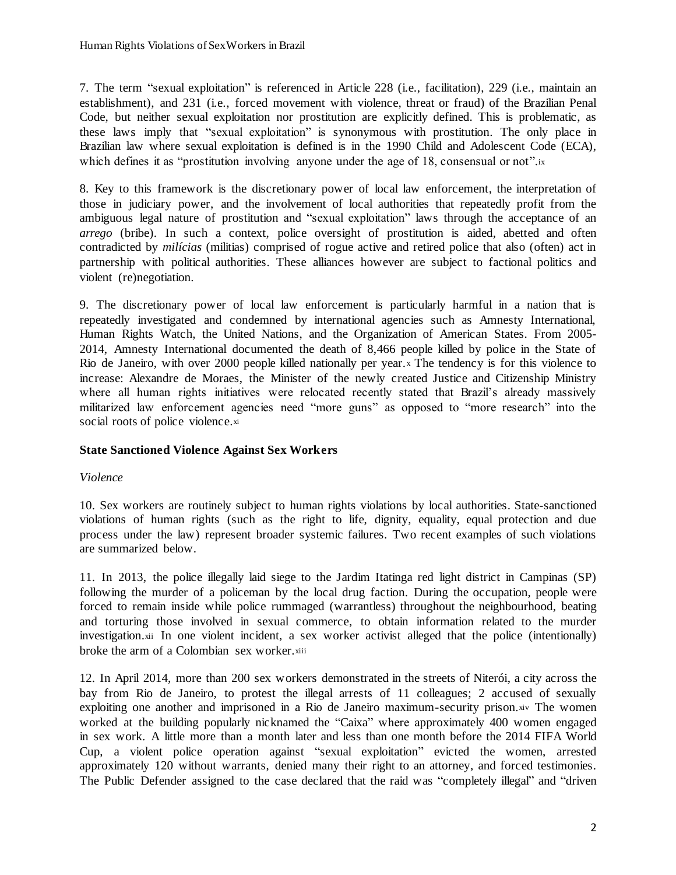7. The term "sexual exploitation" is referenced in Article 228 (i.e., facilitation), 229 (i.e., maintain an establishment), and 231 (i.e., forced movement with violence, threat or fraud) of the Brazilian Penal Code, but neither sexual exploitation nor prostitution are explicitly defined. This is problematic, as these laws imply that "sexual exploitation" is synonymous with prostitution. The only place in Brazilian law where sexual exploitation is defined is in the 1990 Child and Adolescent Code (ECA), which defines it as "prostitution involving anyone under the age of 18, consensual or not".ix

8. Key to this framework is the discretionary power of local law enforcement, the interpretation of those in judiciary power, and the involvement of local authorities that repeatedly profit from the ambiguous legal nature of prostitution and "sexual exploitation" laws through the acceptance of an *arrego* (bribe). In such a context, police oversight of prostitution is aided, abetted and often contradicted by *milícias* (militias) comprised of rogue active and retired police that also (often) act in partnership with political authorities. These alliances however are subject to factional politics and violent (re)negotiation.

9. The discretionary power of local law enforcement is particularly harmful in a nation that is repeatedly investigated and condemned by international agencies such as Amnesty International, Human Rights Watch, the United Nations, and the Organization of American States. From 2005- 2014, Amnesty International documented the death of 8,466 people killed by police in the State of Rio de Janeiro, with over 2000 people killed nationally per year. <sup>x</sup> The tendency is for this violence to increase: Alexandre de Moraes, the Minister of the newly created Justice and Citizenship Ministry where all human rights initiatives were relocated recently stated that Brazil's already massively militarized law enforcement agencies need "more guns" as opposed to "more research" into the social roots of police violence.xi

# **State Sanctioned Violence Against Sex Workers**

# *Violence*

10. Sex workers are routinely subject to human rights violations by local authorities. State-sanctioned violations of human rights (such as the right to life, dignity, equality, equal protection and due process under the law) represent broader systemic failures. Two recent examples of such violations are summarized below.

11. In 2013, the police illegally laid siege to the Jardim Itatinga red light district in Campinas (SP) following the murder of a policeman by the local drug faction. During the occupation, people were forced to remain inside while police rummaged (warrantless) throughout the neighbourhood, beating and torturing those involved in sexual commerce, to obtain information related to the murder investigation.xii In one violent incident, a sex worker activist alleged that the police (intentionally) broke the arm of a Colombian sex worker.xiii

12. In April 2014, more than 200 sex workers demonstrated in the streets of Niterói, a city across the bay from Rio de Janeiro, to protest the illegal arrests of 11 colleagues; 2 accused of sexually exploiting one another and imprisoned in a Rio de Janeiro maximum-security prison.xiv The women worked at the building popularly nicknamed the "Caixa" where approximately 400 women engaged in sex work. A little more than a month later and less than one month before the 2014 FIFA World Cup, a violent police operation against "sexual exploitation" evicted the women, arrested approximately 120 without warrants, denied many their right to an attorney, and forced testimonies. The Public Defender assigned to the case declared that the raid was "completely illegal" and "driven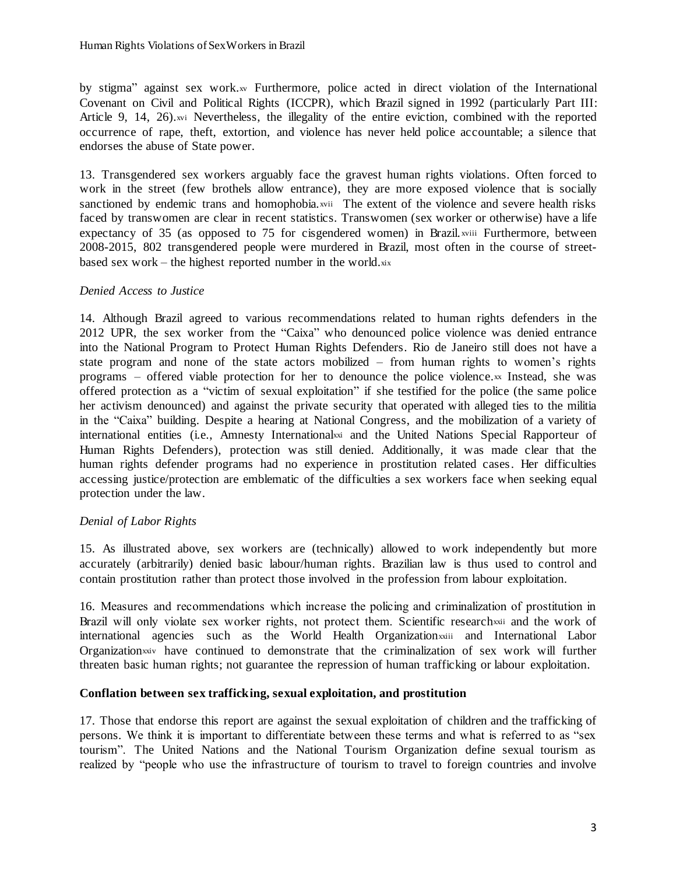by stigma" against sex work.<sub>xv</sub> Furthermore, police acted in direct violation of the International Covenant on Civil and Political Rights (ICCPR), which Brazil signed in 1992 (particularly Part III: Article 9, 14, 26).xvi Nevertheless, the illegality of the entire eviction, combined with the reported occurrence of rape, theft, extortion, and violence has never held police accountable; a silence that endorses the abuse of State power.

13. Transgendered sex workers arguably face the gravest human rights violations. Often forced to work in the street (few brothels allow entrance), they are more exposed violence that is socially sanctioned by endemic trans and homophobia.xvii The extent of the violence and severe health risks faced by transwomen are clear in recent statistics. Transwomen (sex worker or otherwise) have a life expectancy of 35 (as opposed to 75 for cisgendered women) in Brazil. xviii Furthermore, between 2008-2015, 802 transgendered people were murdered in Brazil, most often in the course of streetbased sex work – the highest reported number in the world. $x^i$ 

# *Denied Access to Justice*

14. Although Brazil agreed to various recommendations related to human rights defenders in the 2012 UPR, the sex worker from the "Caixa" who denounced police violence was denied entrance into the National Program to Protect Human Rights Defenders. Rio de Janeiro still does not have a state program and none of the state actors mobilized – from human rights to women's rights programs – offered viable protection for her to denounce the police violence.xx Instead, she was offered protection as a "victim of sexual exploitation" if she testified for the police (the same police her activism denounced) and against the private security that operated with alleged ties to the militia in the "Caixa" building. Despite a hearing at National Congress, and the mobilization of a variety of international entities (i.e., Amnesty Internationalxxi and the United Nations Special Rapporteur of Human Rights Defenders), protection was still denied. Additionally, it was made clear that the human rights defender programs had no experience in prostitution related cases. Her difficulties accessing justice/protection are emblematic of the difficulties a sex workers face when seeking equal protection under the law.

# *Denial of Labor Rights*

15. As illustrated above, sex workers are (technically) allowed to work independently but more accurately (arbitrarily) denied basic labour/human rights. Brazilian law is thus used to control and contain prostitution rather than protect those involved in the profession from labour exploitation.

16. Measures and recommendations which increase the policing and criminalization of prostitution in Brazil will only violate sex worker rights, not protect them. Scientific research is and the work of international agencies such as the World Health Organization varianties and International Labor Organizationxxiv have continued to demonstrate that the criminalization of sex work will further threaten basic human rights; not guarantee the repression of human trafficking or labour exploitation.

# **Conflation between sex trafficking, sexual exploitation, and prostitution**

17. Those that endorse this report are against the sexual exploitation of children and the trafficking of persons. We think it is important to differentiate between these terms and what is referred to as "sex tourism". The United Nations and the National Tourism Organization define sexual tourism as realized by "people who use the infrastructure of tourism to travel to foreign countries and involve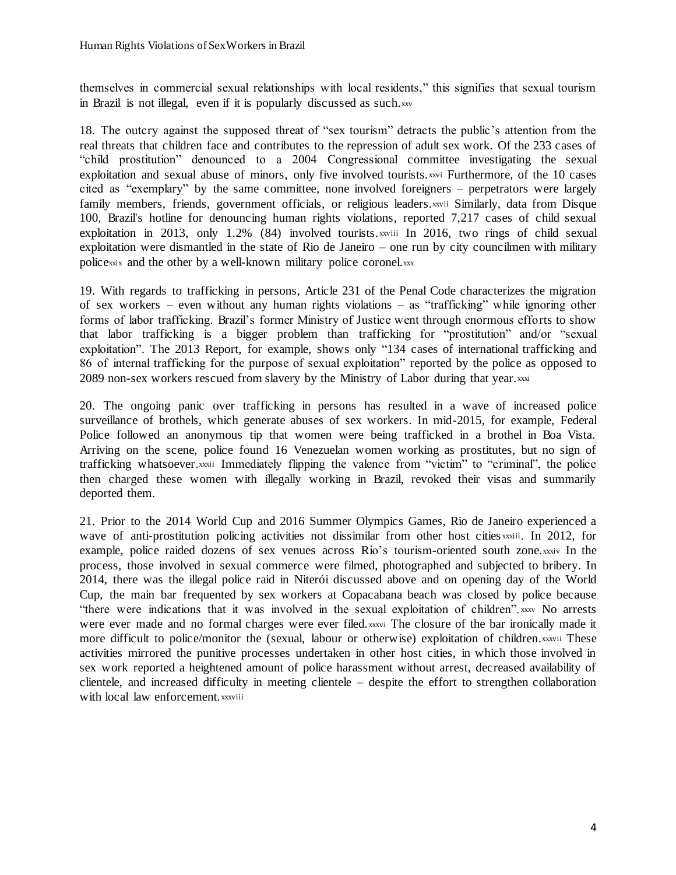themselves in commercial sexual relationships with local residents," this signifies that sexual tourism in Brazil is not illegal, even if it is popularly discussed as such.xxv

18. The outcry against the supposed threat of "sex tourism" detracts the public's attention from the real threats that children face and contributes to the repression of adult sex work. Of the 233 cases of "child prostitution" denounced to a 2004 Congressional committee investigating the sexual exploitation and sexual abuse of minors, only five involved tourists.xxvi Furthermore, of the 10 cases cited as "exemplary" by the same committee, none involved foreigners – perpetrators were largely family members, friends, government officials, or religious leaders.xxvii Similarly, data from Disque 100, Brazil's hotline for denouncing human rights violations, reported 7,217 cases of child sexual exploitation in 2013, only 1.2% (84) involved tourists, x iii In 2016, two rings of child sexual exploitation were dismantled in the state of Rio de Janeiro – one run by city councilmen with military policexxix and the other by a well-known military police coronel.xxx

19. With regards to trafficking in persons, Article 231 of the Penal Code characterizes the migration of sex workers – even without any human rights violations – as "trafficking" while ignoring other forms of labor trafficking. Brazil's former Ministry of Justice went through enormous efforts to show that labor trafficking is a bigger problem than trafficking for "prostitution" and/or "sexual exploitation". The 2013 Report, for example, shows only "134 cases of international trafficking and 86 of internal trafficking for the purpose of sexual exploitation" reported by the police as opposed to 2089 non-sex workers rescued from slavery by the Ministry of Labor during that year, xxxi

20. The ongoing panic over trafficking in persons has resulted in a wave of increased police surveillance of brothels, which generate abuses of sex workers. In mid-2015, for example, Federal Police followed an anonymous tip that women were being trafficked in a brothel in Boa Vista. Arriving on the scene, police found 16 Venezuelan women working as prostitutes, but no sign of trafficking whatsoever.xxxii Immediately flipping the valence from "victim" to "criminal", the police then charged these women with illegally working in Brazil, revoked their visas and summarily deported them.

21. Prior to the 2014 World Cup and 2016 Summer Olympics Games, Rio de Janeiro experienced a wave of anti-prostitution policing activities not dissimilar from other host cities xxxiii. In 2012, for example, police raided dozens of sex venues across Rio's tourism-oriented south zone.xxxiv In the process, those involved in sexual commerce were filmed, photographed and subjected to bribery. In 2014, there was the illegal police raid in Niterói discussed above and on opening day of the World Cup, the main bar frequented by sex workers at Copacabana beach was closed by police because "there were indications that it was involved in the sexual exploitation of children". xxxv No arrests were ever made and no formal charges were ever filed.xxxvi The closure of the bar ironically made it more difficult to police/monitor the (sexual, labour or otherwise) exploitation of children.xxxvii These activities mirrored the punitive processes undertaken in other host cities, in which those involved in sex work reported a heightened amount of police harassment without arrest, decreased availability of clientele, and increased difficulty in meeting clientele – despite the effort to strengthen collaboration with local law enforcement.xxxviii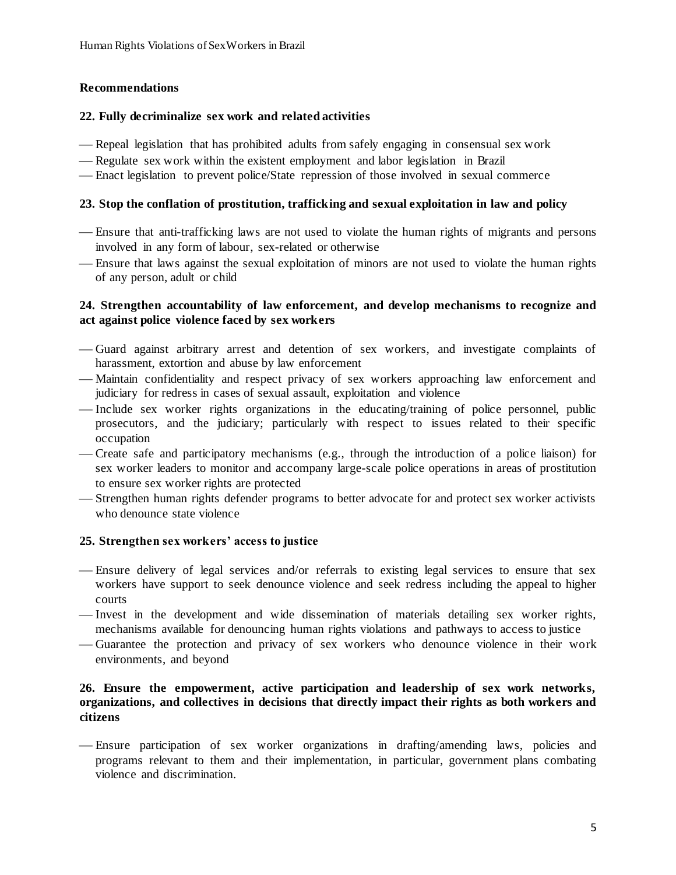# **Recommendations**

### **22. Fully decriminalize sex work and related activities**

- Repeal legislation that has prohibited adults from safely engaging in consensual sex work
- Regulate sex work within the existent employment and labor legislation in Brazil
- Enact legislation to prevent police/State repression of those involved in sexual commerce

## **23. Stop the conflation of prostitution, trafficking and sexual exploitation in law and policy**

- Ensure that anti-trafficking laws are not used to violate the human rights of migrants and persons involved in any form of labour, sex-related or otherwise
- Ensure that laws against the sexual exploitation of minors are not used to violate the human rights of any person, adult or child

### **24. Strengthen accountability of law enforcement, and develop mechanisms to recognize and act against police violence faced by sex workers**

- Guard against arbitrary arrest and detention of sex workers, and investigate complaints of harassment, extortion and abuse by law enforcement
- Maintain confidentiality and respect privacy of sex workers approaching law enforcement and judiciary for redress in cases of sexual assault, exploitation and violence
- Include sex worker rights organizations in the educating/training of police personnel, public prosecutors, and the judiciary; particularly with respect to issues related to their specific occupation
- Create safe and participatory mechanisms (e.g., through the introduction of a police liaison) for sex worker leaders to monitor and accompany large-scale police operations in areas of prostitution to ensure sex worker rights are protected
- Strengthen human rights defender programs to better advocate for and protect sex worker activists who denounce state violence

# **25. Strengthen sex workers' access to justice**

- Ensure delivery of legal services and/or referrals to existing legal services to ensure that sex workers have support to seek denounce violence and seek redress including the appeal to higher courts
- -Invest in the development and wide dissemination of materials detailing sex worker rights, mechanisms available for denouncing human rights violations and pathways to access to justice
- Guarantee the protection and privacy of sex workers who denounce violence in their work environments, and beyond

## **26. Ensure the empowerment, active participation and leadership of sex work networks, organizations, and collectives in decisions that directly impact their rights as both workers and citizens**

 Ensure participation of sex worker organizations in drafting/amending laws, policies and programs relevant to them and their implementation, in particular, government plans combating violence and discrimination.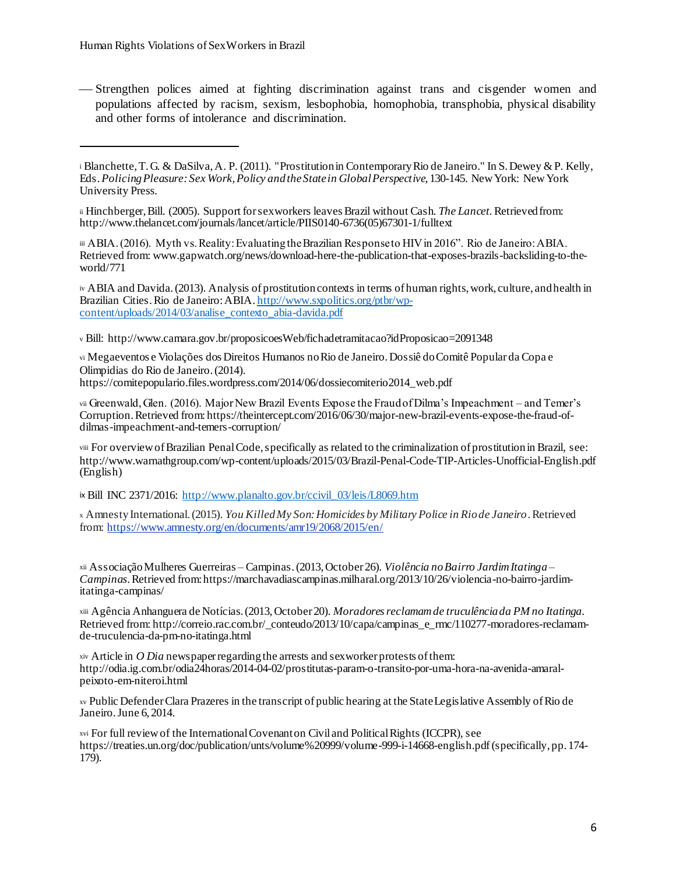l

 Strengthen polices aimed at fighting discrimination against trans and cisgender women and populations affected by racism, sexism, lesbophobia, homophobia, transphobia, physical disability and other forms of intolerance and discrimination.

ii Hinchberger, Bill. (2005). Support for sex workers leaves Brazil without Cash. *The Lancet.* Retrieved from: http://www.thelancet.com/journals/lancet/article/PIIS0140-6736(05)67301-1/fulltext

iii ABIA. (2016). Myth vs. Reality: Evaluating the Brazilian Response to HIV in 2016". Rio de Janeiro: ABIA. Retrieved from: www.gapwatch.org/news/download-here-the-publication-that-exposes-brazils-backsliding-to-theworld/771

iv ABIA and Davida. (2013). Analysis of prostitution contexts in terms of human rights, work, culture, and health in Brazilian Cities. Rio de Janeiro: ABIA. http://www.sxpolitics.org/ptbr/wpcontent/uploads/2014/03/analise\_contexto\_abia-davida.pdf

<sup>v</sup> Bill: http://www.camara.gov.br/proposicoesWeb/fichadetramitacao?idProposicao=2091348

vi Megaeventos e Violações dos Direitos Humanos no Rio de Janeiro. Dossiê do Comitê Popular da Copa e Olimpidias do Rio de Janeiro. (2014).

https://comitepopulario.files.wordpress.com/2014/06/dossiecomiterio2014\_web.pdf

viii For overview of Brazilian Penal Code, specifically as related to the criminalization of prostitution in Brazil, see: http://www.warnathgroup.com/wp-content/uploads/2015/03/Brazil-Penal-Code-TIP-Articles-Unofficial-English.pdf (English)

ix Bill INC 2371/2016: http://www.planalto.gov.br/ccivil\_03/leis/L8069.htm

<sup>x</sup> Amnesty International. (2015). *You Killed My Son: Homicides by Military Police in Rio de Janeiro*. Retrieved from: https://www.amnesty.org/en/documents/amr19/2068/2015/en/

xii Associação Mulheres Guerreiras – Campinas. (2013, October 26). *Violência no Bairro Jardim Itatinga – Campinas*. Retrieved from: https://marchavadiascampinas.milharal.org/2013/10/26/violencia-no-bairro-jardimitatinga-campinas/

xiii Agência Anhanguera de Notícias. (2013, October 20). *Moradores reclamam de truculência da PM no Itatinga*. Retrieved from: http://correio.rac.com.br/\_conteudo/2013/10/capa/campinas\_e\_rmc/110277-moradores-reclamamde-truculencia-da-pm-no-itatinga.html

xiv Article in *O Dia* newspaper regarding the arrests and sex worker protests of them: http://odia.ig.com.br/odia24horas/2014-04-02/prostitutas-param-o-transito-por-uma-hora-na-avenida-amaralpeixoto-em-niteroi.html

xv Public Defender Clara Prazeres in the transcript of public hearing at the State Legislative Assembly of Rio de Janeiro. June 6, 2014.

xvi For full review of the International Covenant on Civil and Political Rights (ICCPR), see https://treaties.un.org/doc/publication/unts/volume%20999/volume-999-i-14668-english.pdf (specifically, pp. 174-179).

<sup>i</sup> Blanchette, T. G. & DaSilva, A. P. (2011). "Prostitution in Contemporary Rio de Janeiro." In S. Dewey & P. Kelly, Eds. *Policing Pleasure: Sex Work, Policy and the State in Global Perspective,* 130-145. New York: New York University Press.

vii Greenwald, Glen. (2016). Major New Brazil Events Expose the Fraud of Dilma's Impeachment – and Temer's Corruption. Retrieved from: https://theintercept.com/2016/06/30/major-new-brazil-events-expose-the-fraud-ofdilmas-impeachment-and-temers-corruption/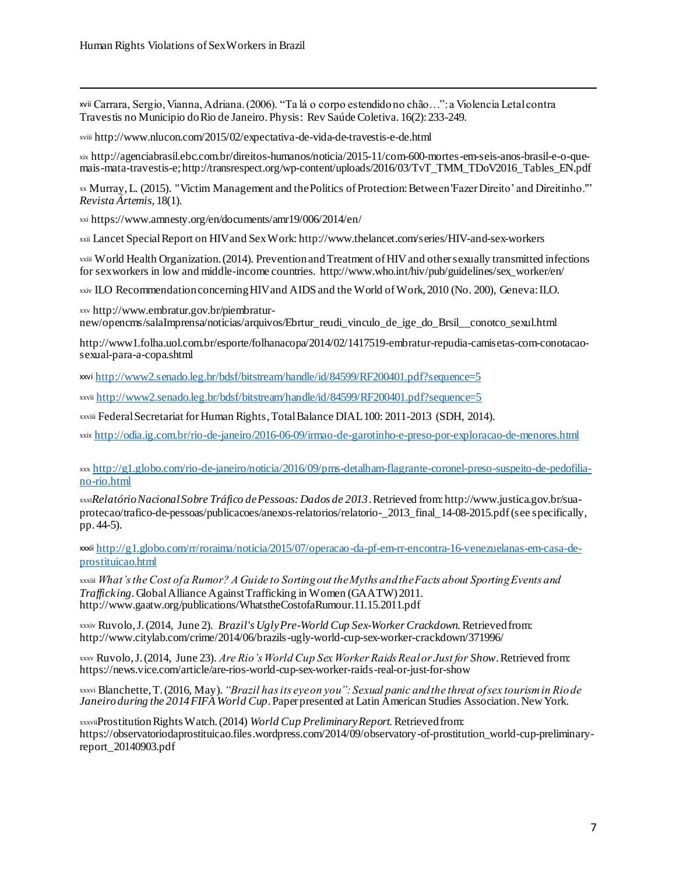l

xvii Carrara, Sergio, Vianna, Adriana. (2006). "Ta lá o corpo estendido no chão…": a Violencia Letal contra Travestis no Municipio do Rio de Janeiro. Physis: Rev Saúde Coletiva. 16(2): 233-249.

xviii http://www.nlucon.com/2015/02/expectativa-de-vida-de-travestis-e-de.html

xix http://agenciabrasil.ebc.com.br/direitos-humanos/noticia/2015-11/com-600-mortes-em-seis-anos-brasil-e-o-quemais-mata-travestis-e; http://transrespect.org/wp-content/uploads/2016/03/TvT\_TMM\_TDoV2016\_Tables\_EN.pdf

xx Murray, L. (2015). "Victim Management and the Politics of Protection: Between 'Fazer Direito' and Direitinho.'" *Revista Ártemis,* 18(1).

xxi https://www.amnesty.org/en/documents/amr19/006/2014/en/

xxii Lancet Special Report on HIV and Sex Work: http://www.thelancet.com/series/HIV-and-sex-workers

xxiii World Health Organization. (2014). Prevention and Treatment of HIV and other sexually transmitted infections for sex workers in low and middle-income countries. http://www.who.int/hiv/pub/guidelines/sex\_worker/en/

xxiv ILO Recommendation concerning HIV and AIDS and the World of Work, 2010 (No. 200), Geneva: ILO.

xxv http://www.embratur.gov.br/piembraturnew/opencms/salaImprensa/noticias/arquivos/Ebrtur\_reudi\_vinculo\_de\_ige\_do\_Brsil\_\_conotco\_sexul.html

http://www1.folha.uol.com.br/esporte/folhanacopa/2014/02/1417519-embratur-repudia-camisetas-com-conotacaosexual-para-a-copa.shtml

xxvi http://www2.senado.leg.br/bdsf/bitstream/handle/id/84599/RF200401.pdf?sequence=5

xxvii http://www2.senado.leg.br/bdsf/bitstream/handle/id/84599/RF200401.pdf?sequence=5

xxviii Federal Secretariat for Human Rights, Total Balance DIAL 100: 2011-2013 (SDH, 2014).

xxix http://odia.ig.com.br/rio-de-janeiro/2016-06-09/irmao-de-garotinho-e-preso-por-exploracao-de-menores.html

xxx http://g1.globo.com/rio-de-janeiro/noticia/2016/09/pms-detalham-flagrante-coronel-preso-suspeito-de-pedofiliano-rio.html

xxxi*Relatório Nacional Sobre Tráfico de Pessoas: Dados de 2013*. Retrieved from: http://www.justica.gov.br/suaprotecao/trafico-de-pessoas/publicacoes/anexos-relatorios/relatorio-\_2013\_final\_14-08-2015.pdf(see specifically, pp. 44-5).

xxxii http://g1.globo.com/rr/roraima/noticia/2015/07/operacao-da-pf-em-rr-encontra-16-venezuelanas-em-casa-deprostituicao.html

xxxiii *What's the Cost of a Rumor? A Guide to Sorting out the Myths and the Facts about Sporting Events and Trafficking.* Global Alliance Against Trafficking in Women (GAATW) 2011. http://www.gaatw.org/publications/WhatstheCostofaRumour.11.15.2011.pdf

xxxiv Ruvolo, J.(2014, June 2). *Brazil's Ugly Pre-World Cup Sex-Worker Crackdown.*Retrieved from: http://www.citylab.com/crime/2014/06/brazils-ugly-world-cup-sex-worker-crackdown/371996/

xxxv Ruvolo, J. (2014, June 23). *Are Rio's World Cup Sex Worker Raids Real or Just for Show*. Retrieved from: https://news.vice.com/article/are-rios-world-cup-sex-worker-raids-real-or-just-for-show

xxxvi Blanchette, T. (2016, May). *"Brazil has its eye on you": Sexual panic and the threat of sex tourism in Rio de Janeiro during the 2014 FIFA World Cup*. Paper presented at Latin American Studies Association. New York.

xxxviiProstitution Rights Watch. (2014) *World Cup Preliminary Report.* Retrieved from: https://observatoriodaprostituicao.files.wordpress.com/2014/09/observatory-of-prostitution\_world-cup-preliminaryreport\_20140903.pdf